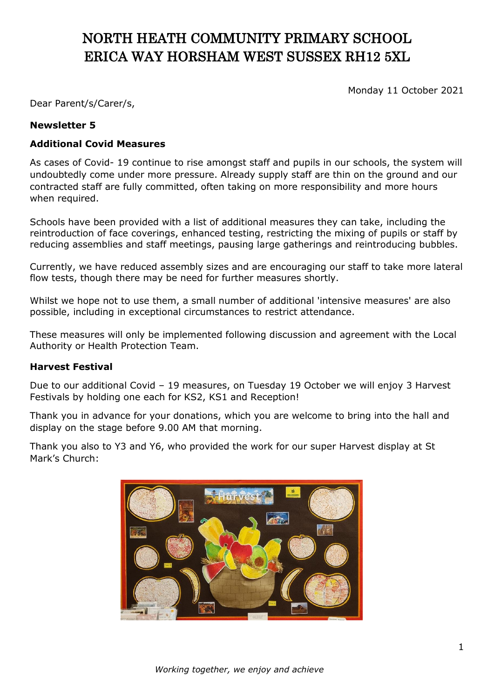# NORTH HEATH COMMUNITY PRIMARY SCHOOL ERICA WAY HORSHAM WEST SUSSEX RH12 5XL

Monday 11 October 2021

Dear Parent/s/Carer/s,

# **Newsletter 5**

## **Additional Covid Measures**

As cases of Covid- 19 continue to rise amongst staff and pupils in our schools, the system will undoubtedly come under more pressure. Already supply staff are thin on the ground and our contracted staff are fully committed, often taking on more responsibility and more hours when required.

Schools have been provided with a list of additional measures they can take, including the reintroduction of face coverings, enhanced testing, restricting the mixing of pupils or staff by reducing assemblies and staff meetings, pausing large gatherings and reintroducing bubbles.

Currently, we have reduced assembly sizes and are encouraging our staff to take more lateral flow tests, though there may be need for further measures shortly.

Whilst we hope not to use them, a small number of additional 'intensive measures' are also possible, including in exceptional circumstances to restrict attendance.

These measures will only be implemented following discussion and agreement with the Local Authority or Health Protection Team.

#### **Harvest Festival**

Due to our additional Covid – 19 measures, on Tuesday 19 October we will enjoy 3 Harvest Festivals by holding one each for KS2, KS1 and Reception!

Thank you in advance for your donations, which you are welcome to bring into the hall and display on the stage before 9.00 AM that morning.

Thank you also to Y3 and Y6, who provided the work for our super Harvest display at St Mark's Church: